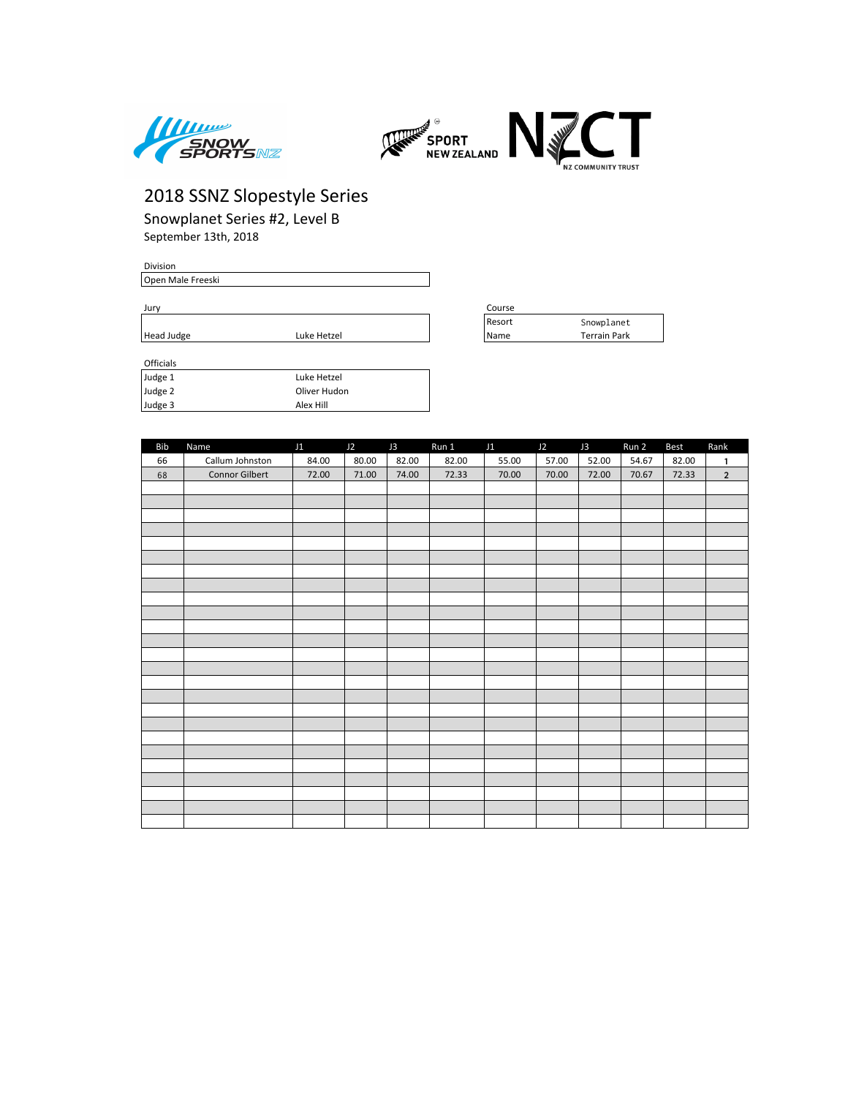



Snowplanet Series #2, Level B September 13th, 2018

#### Division

Open Male Freeski

| Officials |              |
|-----------|--------------|
| Judge 1   | Luke Hetzel  |
| Judge 2   | Oliver Hudon |
| Judge 3   | Alex Hill    |

| Jurv       | Course      |        |                 |  |
|------------|-------------|--------|-----------------|--|
|            |             | Resort | Snowplanet      |  |
| Head Judge | Luke Hetzel | l Name | Park<br>Ferrain |  |

| Bib | Name                  | J1    | J2    | J3    | Run 1 | J1    | J2    | J3    | Run 2 | Best  | Rank           |
|-----|-----------------------|-------|-------|-------|-------|-------|-------|-------|-------|-------|----------------|
| 66  | Callum Johnston       | 84.00 | 80.00 | 82.00 | 82.00 | 55.00 | 57.00 | 52.00 | 54.67 | 82.00 | 1              |
| 68  | <b>Connor Gilbert</b> | 72.00 | 71.00 | 74.00 | 72.33 | 70.00 | 70.00 | 72.00 | 70.67 | 72.33 | $\overline{2}$ |
|     |                       |       |       |       |       |       |       |       |       |       |                |
|     |                       |       |       |       |       |       |       |       |       |       |                |
|     |                       |       |       |       |       |       |       |       |       |       |                |
|     |                       |       |       |       |       |       |       |       |       |       |                |
|     |                       |       |       |       |       |       |       |       |       |       |                |
|     |                       |       |       |       |       |       |       |       |       |       |                |
|     |                       |       |       |       |       |       |       |       |       |       |                |
|     |                       |       |       |       |       |       |       |       |       |       |                |
|     |                       |       |       |       |       |       |       |       |       |       |                |
|     |                       |       |       |       |       |       |       |       |       |       |                |
|     |                       |       |       |       |       |       |       |       |       |       |                |
|     |                       |       |       |       |       |       |       |       |       |       |                |
|     |                       |       |       |       |       |       |       |       |       |       |                |
|     |                       |       |       |       |       |       |       |       |       |       |                |
|     |                       |       |       |       |       |       |       |       |       |       |                |
|     |                       |       |       |       |       |       |       |       |       |       |                |
|     |                       |       |       |       |       |       |       |       |       |       |                |
|     |                       |       |       |       |       |       |       |       |       |       |                |
|     |                       |       |       |       |       |       |       |       |       |       |                |
|     |                       |       |       |       |       |       |       |       |       |       |                |
|     |                       |       |       |       |       |       |       |       |       |       |                |
|     |                       |       |       |       |       |       |       |       |       |       |                |
|     |                       |       |       |       |       |       |       |       |       |       |                |
|     |                       |       |       |       |       |       |       |       |       |       |                |
|     |                       |       |       |       |       |       |       |       |       |       |                |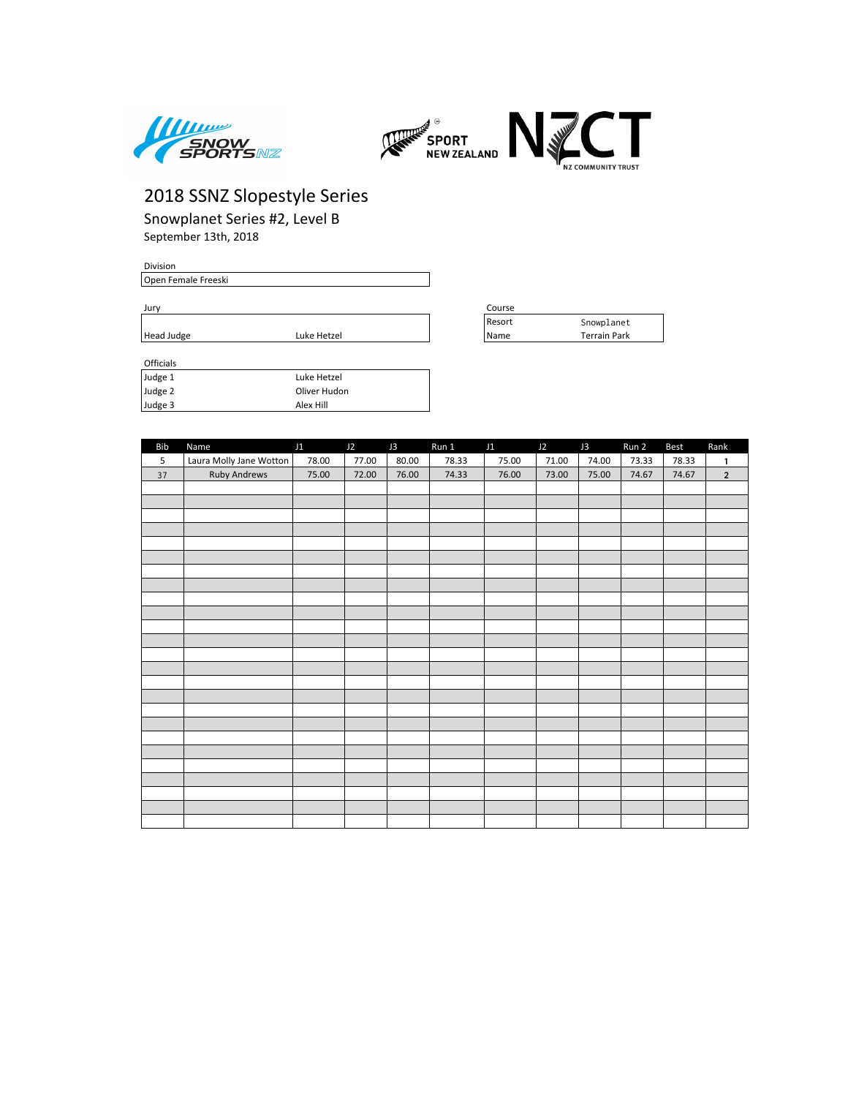



Snowplanet Series #2, Level B September 13th, 2018

#### Division

Open Female Freeski

Jury Course

| Officials |              |  |
|-----------|--------------|--|
| Judge 1   | Luke Hetzel  |  |
| Judge 2   | Oliver Hudon |  |
| Judge 3   | Alex Hill    |  |

| Course |                     |
|--------|---------------------|
| Resort | Snowplanet          |
| Name   | <b>Terrain Park</b> |

| Bib | Name                    | J1    | J2    | J3    | Run 1 | J1    | J2    | J3    | Run 2 | Best  | Rank           |
|-----|-------------------------|-------|-------|-------|-------|-------|-------|-------|-------|-------|----------------|
| 5   | Laura Molly Jane Wotton | 78.00 | 77.00 | 80.00 | 78.33 | 75.00 | 71.00 | 74.00 | 73.33 | 78.33 | 1              |
| 37  | <b>Ruby Andrews</b>     | 75.00 | 72.00 | 76.00 | 74.33 | 76.00 | 73.00 | 75.00 | 74.67 | 74.67 | $\overline{2}$ |
|     |                         |       |       |       |       |       |       |       |       |       |                |
|     |                         |       |       |       |       |       |       |       |       |       |                |
|     |                         |       |       |       |       |       |       |       |       |       |                |
|     |                         |       |       |       |       |       |       |       |       |       |                |
|     |                         |       |       |       |       |       |       |       |       |       |                |
|     |                         |       |       |       |       |       |       |       |       |       |                |
|     |                         |       |       |       |       |       |       |       |       |       |                |
|     |                         |       |       |       |       |       |       |       |       |       |                |
|     |                         |       |       |       |       |       |       |       |       |       |                |
|     |                         |       |       |       |       |       |       |       |       |       |                |
|     |                         |       |       |       |       |       |       |       |       |       |                |
|     |                         |       |       |       |       |       |       |       |       |       |                |
|     |                         |       |       |       |       |       |       |       |       |       |                |
|     |                         |       |       |       |       |       |       |       |       |       |                |
|     |                         |       |       |       |       |       |       |       |       |       |                |
|     |                         |       |       |       |       |       |       |       |       |       |                |
|     |                         |       |       |       |       |       |       |       |       |       |                |
|     |                         |       |       |       |       |       |       |       |       |       |                |
|     |                         |       |       |       |       |       |       |       |       |       |                |
|     |                         |       |       |       |       |       |       |       |       |       |                |
|     |                         |       |       |       |       |       |       |       |       |       |                |
|     |                         |       |       |       |       |       |       |       |       |       |                |
|     |                         |       |       |       |       |       |       |       |       |       |                |
|     |                         |       |       |       |       |       |       |       |       |       |                |
|     |                         |       |       |       |       |       |       |       |       |       |                |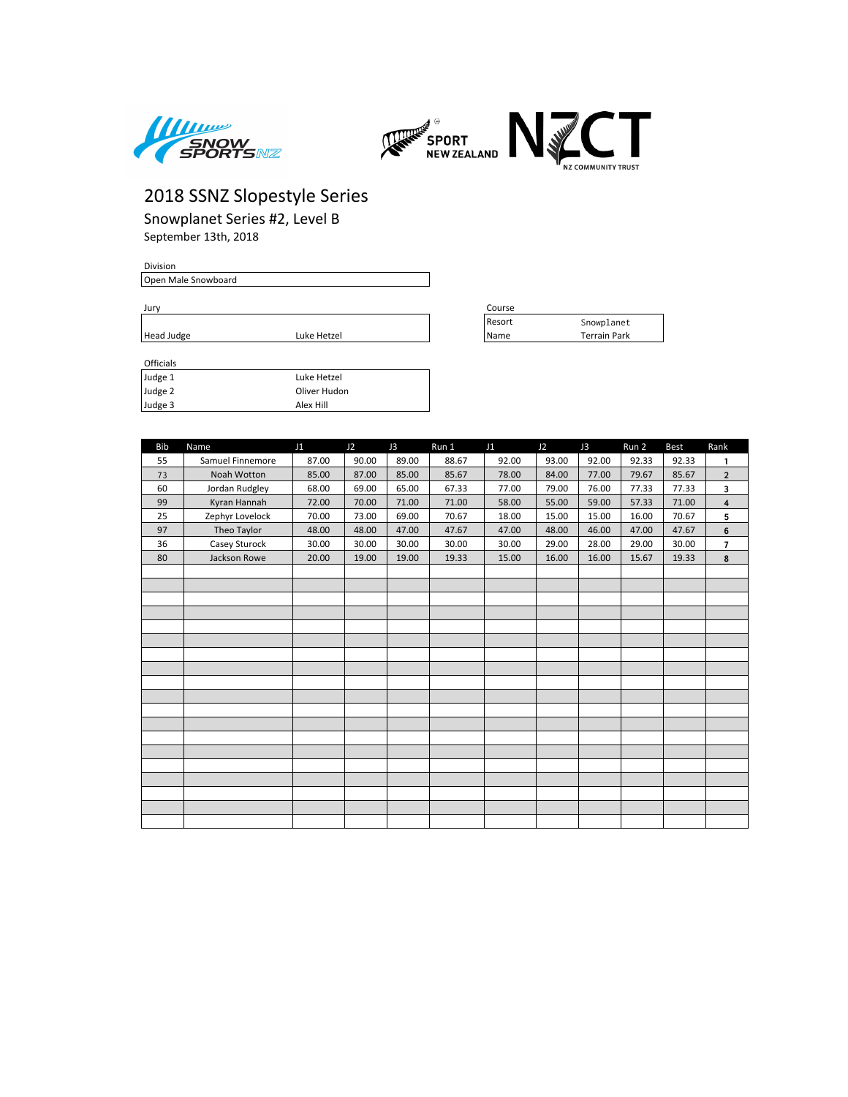



Snowplanet Series #2, Level B September 13th, 2018

#### Division

Open Male Snowboard

Jury Course

| <b>Officials</b> |              |
|------------------|--------------|
| Judge 1          | Luke Hetzel  |
| Judge 2          | Oliver Hudon |
| Judge 3          | Alex Hill    |

| Course |              |
|--------|--------------|
| Resort | Snowplanet   |
| Name   | Terrain Park |

| <b>Bib</b> | Name             | J1    | J2    | J3    | Run 1 | J1    | J2    | J3    | Run 2 | <b>Best</b> | Rank                    |
|------------|------------------|-------|-------|-------|-------|-------|-------|-------|-------|-------------|-------------------------|
| 55         | Samuel Finnemore | 87.00 | 90.00 | 89.00 | 88.67 | 92.00 | 93.00 | 92.00 | 92.33 | 92.33       | 1                       |
| 73         | Noah Wotton      | 85.00 | 87.00 | 85.00 | 85.67 | 78.00 | 84.00 | 77.00 | 79.67 | 85.67       | $\overline{2}$          |
| 60         | Jordan Rudgley   | 68.00 | 69.00 | 65.00 | 67.33 | 77.00 | 79.00 | 76.00 | 77.33 | 77.33       | 3                       |
| 99         | Kyran Hannah     | 72.00 | 70.00 | 71.00 | 71.00 | 58.00 | 55.00 | 59.00 | 57.33 | 71.00       | $\overline{\mathbf{4}}$ |
| 25         | Zephyr Lovelock  | 70.00 | 73.00 | 69.00 | 70.67 | 18.00 | 15.00 | 15.00 | 16.00 | 70.67       | 5                       |
| 97         | Theo Taylor      | 48.00 | 48.00 | 47.00 | 47.67 | 47.00 | 48.00 | 46.00 | 47.00 | 47.67       | $\bf 6$                 |
| 36         | Casey Sturock    | 30.00 | 30.00 | 30.00 | 30.00 | 30.00 | 29.00 | 28.00 | 29.00 | 30.00       | $\overline{7}$          |
| 80         | Jackson Rowe     | 20.00 | 19.00 | 19.00 | 19.33 | 15.00 | 16.00 | 16.00 | 15.67 | 19.33       | 8                       |
|            |                  |       |       |       |       |       |       |       |       |             |                         |
|            |                  |       |       |       |       |       |       |       |       |             |                         |
|            |                  |       |       |       |       |       |       |       |       |             |                         |
|            |                  |       |       |       |       |       |       |       |       |             |                         |
|            |                  |       |       |       |       |       |       |       |       |             |                         |
|            |                  |       |       |       |       |       |       |       |       |             |                         |
|            |                  |       |       |       |       |       |       |       |       |             |                         |
|            |                  |       |       |       |       |       |       |       |       |             |                         |
|            |                  |       |       |       |       |       |       |       |       |             |                         |
|            |                  |       |       |       |       |       |       |       |       |             |                         |
|            |                  |       |       |       |       |       |       |       |       |             |                         |
|            |                  |       |       |       |       |       |       |       |       |             |                         |
|            |                  |       |       |       |       |       |       |       |       |             |                         |
|            |                  |       |       |       |       |       |       |       |       |             |                         |
|            |                  |       |       |       |       |       |       |       |       |             |                         |
|            |                  |       |       |       |       |       |       |       |       |             |                         |
|            |                  |       |       |       |       |       |       |       |       |             |                         |
|            |                  |       |       |       |       |       |       |       |       |             |                         |
|            |                  |       |       |       |       |       |       |       |       |             |                         |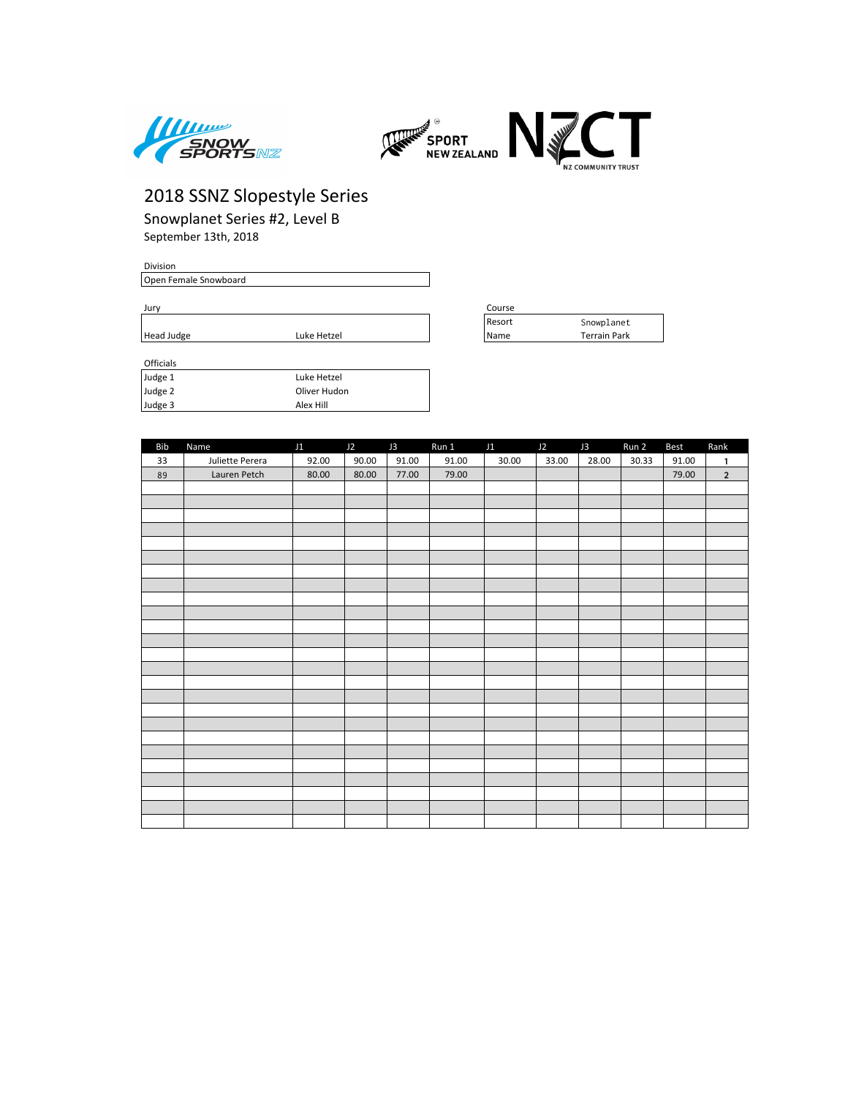



Snowplanet Series #2, Level B September 13th, 2018

#### Division

Open Female Snowboard

Jury Course

| Officials |              |
|-----------|--------------|
| Judge 1   | Luke Hetzel  |
| Judge 2   | Oliver Hudon |
| Judge 3   | Alex Hill    |

| Course |                     |
|--------|---------------------|
| Resort | Snowplanet          |
| Name   | <b>Terrain Park</b> |

| <b>Bib</b> | Name            | J1 J2 J3 |       |       | Run 1 J1 |       | $J2$ $J3$ |       | Run 2 | Best  | Rank           |
|------------|-----------------|----------|-------|-------|----------|-------|-----------|-------|-------|-------|----------------|
| 33         | Juliette Perera | 92.00    | 90.00 | 91.00 | 91.00    | 30.00 | 33.00     | 28.00 | 30.33 | 91.00 | $\mathbf{1}$   |
| 89         | Lauren Petch    | 80.00    | 80.00 | 77.00 | 79.00    |       |           |       |       | 79.00 | $\overline{2}$ |
|            |                 |          |       |       |          |       |           |       |       |       |                |
|            |                 |          |       |       |          |       |           |       |       |       |                |
|            |                 |          |       |       |          |       |           |       |       |       |                |
|            |                 |          |       |       |          |       |           |       |       |       |                |
|            |                 |          |       |       |          |       |           |       |       |       |                |
|            |                 |          |       |       |          |       |           |       |       |       |                |
|            |                 |          |       |       |          |       |           |       |       |       |                |
|            |                 |          |       |       |          |       |           |       |       |       |                |
|            |                 |          |       |       |          |       |           |       |       |       |                |
|            |                 |          |       |       |          |       |           |       |       |       |                |
|            |                 |          |       |       |          |       |           |       |       |       |                |
|            |                 |          |       |       |          |       |           |       |       |       |                |
|            |                 |          |       |       |          |       |           |       |       |       |                |
|            |                 |          |       |       |          |       |           |       |       |       |                |
|            |                 |          |       |       |          |       |           |       |       |       |                |
|            |                 |          |       |       |          |       |           |       |       |       |                |
|            |                 |          |       |       |          |       |           |       |       |       |                |
|            |                 |          |       |       |          |       |           |       |       |       |                |
|            |                 |          |       |       |          |       |           |       |       |       |                |
|            |                 |          |       |       |          |       |           |       |       |       |                |
|            |                 |          |       |       |          |       |           |       |       |       |                |
|            |                 |          |       |       |          |       |           |       |       |       |                |
|            |                 |          |       |       |          |       |           |       |       |       |                |
|            |                 |          |       |       |          |       |           |       |       |       |                |
|            |                 |          |       |       |          |       |           |       |       |       |                |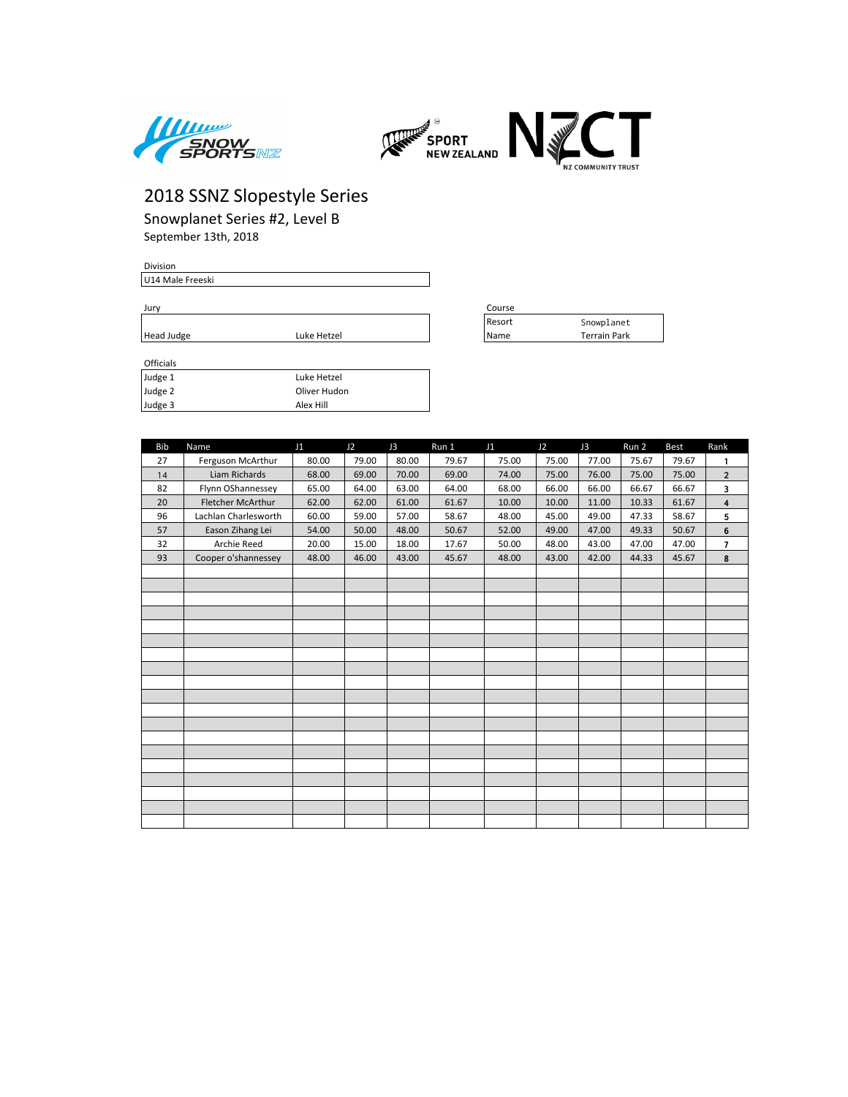



Resort Snowplanet

# 2018 SSNZ Slopestyle Series

Snowplanet Series #2, Level B September 13th, 2018

#### Division

U14 Male Freeski

Jury Course

| Head Judge       | Luke Hetzel | 'Name | <b>Terrain Park</b> |
|------------------|-------------|-------|---------------------|
|                  |             |       |                     |
| <b>Officials</b> |             |       |                     |
| .                | .           |       |                     |

| <b>Officials</b> |              |
|------------------|--------------|
| Judge 1          | Luke Hetzel  |
| Judge 2          | Oliver Hudon |
| Judge 3          | Alex Hill    |

| <b>Bib</b> | Name                     | J1    | J2    | J3    | Run 1 | J1    | J2    | J3    | Run 2 | <b>Best</b> | Rank           |
|------------|--------------------------|-------|-------|-------|-------|-------|-------|-------|-------|-------------|----------------|
| 27         | Ferguson McArthur        | 80.00 | 79.00 | 80.00 | 79.67 | 75.00 | 75.00 | 77.00 | 75.67 | 79.67       | 1              |
| 14         | Liam Richards            | 68.00 | 69.00 | 70.00 | 69.00 | 74.00 | 75.00 | 76.00 | 75.00 | 75.00       | $\overline{2}$ |
| 82         | Flynn OShannessey        | 65.00 | 64.00 | 63.00 | 64.00 | 68.00 | 66.00 | 66.00 | 66.67 | 66.67       | 3              |
| 20         | <b>Fletcher McArthur</b> | 62.00 | 62.00 | 61.00 | 61.67 | 10.00 | 10.00 | 11.00 | 10.33 | 61.67       | 4              |
| 96         | Lachlan Charlesworth     | 60.00 | 59.00 | 57.00 | 58.67 | 48.00 | 45.00 | 49.00 | 47.33 | 58.67       | 5              |
| 57         | Eason Zihang Lei         | 54.00 | 50.00 | 48.00 | 50.67 | 52.00 | 49.00 | 47.00 | 49.33 | 50.67       | 6              |
| 32         | Archie Reed              | 20.00 | 15.00 | 18.00 | 17.67 | 50.00 | 48.00 | 43.00 | 47.00 | 47.00       | $\overline{7}$ |
| 93         | Cooper o'shannessey      | 48.00 | 46.00 | 43.00 | 45.67 | 48.00 | 43.00 | 42.00 | 44.33 | 45.67       | 8              |
|            |                          |       |       |       |       |       |       |       |       |             |                |
|            |                          |       |       |       |       |       |       |       |       |             |                |
|            |                          |       |       |       |       |       |       |       |       |             |                |
|            |                          |       |       |       |       |       |       |       |       |             |                |
|            |                          |       |       |       |       |       |       |       |       |             |                |
|            |                          |       |       |       |       |       |       |       |       |             |                |
|            |                          |       |       |       |       |       |       |       |       |             |                |
|            |                          |       |       |       |       |       |       |       |       |             |                |
|            |                          |       |       |       |       |       |       |       |       |             |                |
|            |                          |       |       |       |       |       |       |       |       |             |                |
|            |                          |       |       |       |       |       |       |       |       |             |                |
|            |                          |       |       |       |       |       |       |       |       |             |                |
|            |                          |       |       |       |       |       |       |       |       |             |                |
|            |                          |       |       |       |       |       |       |       |       |             |                |
|            |                          |       |       |       |       |       |       |       |       |             |                |
|            |                          |       |       |       |       |       |       |       |       |             |                |
|            |                          |       |       |       |       |       |       |       |       |             |                |
|            |                          |       |       |       |       |       |       |       |       |             |                |
|            |                          |       |       |       |       |       |       |       |       |             |                |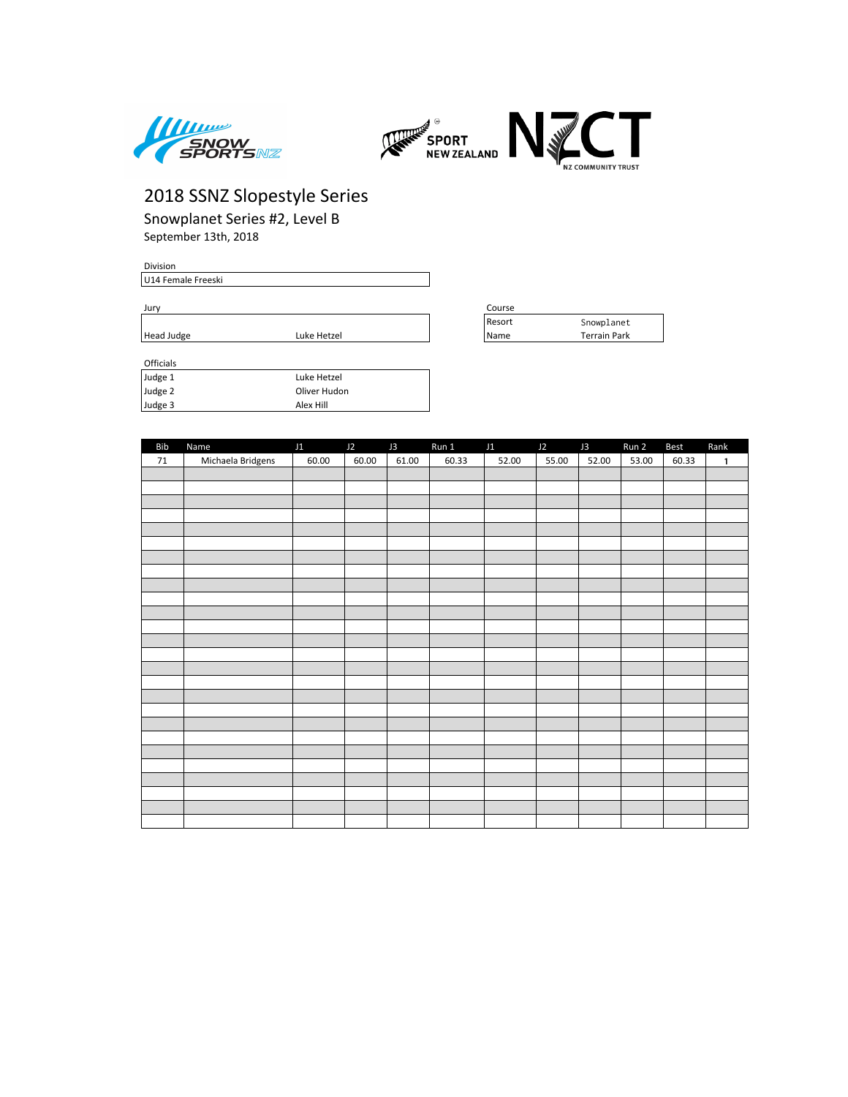



Snowplanet Series #2, Level B September 13th, 2018

#### Division U14 Female Freeski

| Officials |              |
|-----------|--------------|
| Judge 1   | Luke Hetzel  |
| Judge 2   | Oliver Hudon |
| Judge 3   | Alex Hill    |

| Jurv       |             |  | Course |              |
|------------|-------------|--|--------|--------------|
|            |             |  | Reson  | Snowplanet   |
| Head Judge | Luke Hetzel |  | Name   | Terrain Park |

| Bib | Name              | J1    | $J2$ $J3$ |       | Run 1 J1 J2 J3 |       |       |       | Run 2 | Best  | Rank         |
|-----|-------------------|-------|-----------|-------|----------------|-------|-------|-------|-------|-------|--------------|
| 71  | Michaela Bridgens | 60.00 | 60.00     | 61.00 | 60.33          | 52.00 | 55.00 | 52.00 | 53.00 | 60.33 | $\mathbf{1}$ |
|     |                   |       |           |       |                |       |       |       |       |       |              |
|     |                   |       |           |       |                |       |       |       |       |       |              |
|     |                   |       |           |       |                |       |       |       |       |       |              |
|     |                   |       |           |       |                |       |       |       |       |       |              |
|     |                   |       |           |       |                |       |       |       |       |       |              |
|     |                   |       |           |       |                |       |       |       |       |       |              |
|     |                   |       |           |       |                |       |       |       |       |       |              |
|     |                   |       |           |       |                |       |       |       |       |       |              |
|     |                   |       |           |       |                |       |       |       |       |       |              |
|     |                   |       |           |       |                |       |       |       |       |       |              |
|     |                   |       |           |       |                |       |       |       |       |       |              |
|     |                   |       |           |       |                |       |       |       |       |       |              |
|     |                   |       |           |       |                |       |       |       |       |       |              |
|     |                   |       |           |       |                |       |       |       |       |       |              |
|     |                   |       |           |       |                |       |       |       |       |       |              |
|     |                   |       |           |       |                |       |       |       |       |       |              |
|     |                   |       |           |       |                |       |       |       |       |       |              |
|     |                   |       |           |       |                |       |       |       |       |       |              |
|     |                   |       |           |       |                |       |       |       |       |       |              |
|     |                   |       |           |       |                |       |       |       |       |       |              |
|     |                   |       |           |       |                |       |       |       |       |       |              |
|     |                   |       |           |       |                |       |       |       |       |       |              |
|     |                   |       |           |       |                |       |       |       |       |       |              |
|     |                   |       |           |       |                |       |       |       |       |       |              |
|     |                   |       |           |       |                |       |       |       |       |       |              |
|     |                   |       |           |       |                |       |       |       |       |       |              |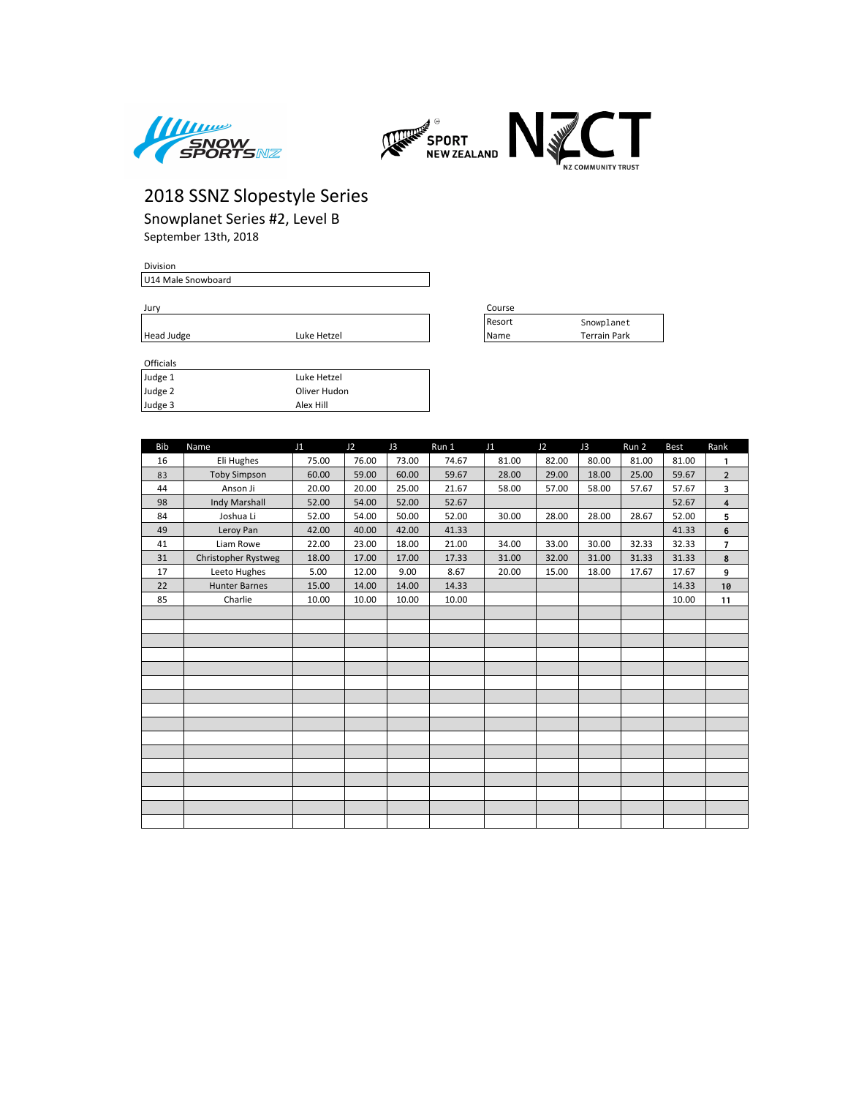



Snowplanet Series #2, Level B September 13th, 2018

#### Division

U14 Male Snowboard

Jury Course

| Head Judge | Hetzel<br>Luke | Name | . rrain^<br>. ت<br>'al K |
|------------|----------------|------|--------------------------|
|            |                |      |                          |

| Officials |              |
|-----------|--------------|
| Judge 1   | Luke Hetzel  |
| Judge 2   | Oliver Hudon |
| Judge 3   | Alex Hill    |

| course |                     |
|--------|---------------------|
| Resort | Snowplanet          |
| Name   | <b>Terrain Park</b> |

| <b>Bib</b> | Name                 | J1    | J2    | J3    | Run 1 | J1    | J2    | J3    | Run 2 | <b>Best</b> | Rank                    |
|------------|----------------------|-------|-------|-------|-------|-------|-------|-------|-------|-------------|-------------------------|
| 16         | Eli Hughes           | 75.00 | 76.00 | 73.00 | 74.67 | 81.00 | 82.00 | 80.00 | 81.00 | 81.00       | 1                       |
| 83         | <b>Toby Simpson</b>  | 60.00 | 59.00 | 60.00 | 59.67 | 28.00 | 29.00 | 18.00 | 25.00 | 59.67       | $\overline{2}$          |
| 44         | Anson Ji             | 20.00 | 20.00 | 25.00 | 21.67 | 58.00 | 57.00 | 58.00 | 57.67 | 57.67       | 3                       |
| 98         | Indy Marshall        | 52.00 | 54.00 | 52.00 | 52.67 |       |       |       |       | 52.67       | $\overline{\mathbf{4}}$ |
| 84         | Joshua Li            | 52.00 | 54.00 | 50.00 | 52.00 | 30.00 | 28.00 | 28.00 | 28.67 | 52.00       | 5                       |
| 49         | Leroy Pan            | 42.00 | 40.00 | 42.00 | 41.33 |       |       |       |       | 41.33       | 6                       |
| 41         | Liam Rowe            | 22.00 | 23.00 | 18.00 | 21.00 | 34.00 | 33.00 | 30.00 | 32.33 | 32.33       | $\overline{7}$          |
| 31         | Christopher Rystweg  | 18.00 | 17.00 | 17.00 | 17.33 | 31.00 | 32.00 | 31.00 | 31.33 | 31.33       | $\pmb{8}$               |
| 17         | Leeto Hughes         | 5.00  | 12.00 | 9.00  | 8.67  | 20.00 | 15.00 | 18.00 | 17.67 | 17.67       | 9                       |
| 22         | <b>Hunter Barnes</b> | 15.00 | 14.00 | 14.00 | 14.33 |       |       |       |       | 14.33       | 10                      |
| 85         | Charlie              | 10.00 | 10.00 | 10.00 | 10.00 |       |       |       |       | 10.00       | 11                      |
|            |                      |       |       |       |       |       |       |       |       |             |                         |
|            |                      |       |       |       |       |       |       |       |       |             |                         |
|            |                      |       |       |       |       |       |       |       |       |             |                         |
|            |                      |       |       |       |       |       |       |       |       |             |                         |
|            |                      |       |       |       |       |       |       |       |       |             |                         |
|            |                      |       |       |       |       |       |       |       |       |             |                         |
|            |                      |       |       |       |       |       |       |       |       |             |                         |
|            |                      |       |       |       |       |       |       |       |       |             |                         |
|            |                      |       |       |       |       |       |       |       |       |             |                         |
|            |                      |       |       |       |       |       |       |       |       |             |                         |
|            |                      |       |       |       |       |       |       |       |       |             |                         |
|            |                      |       |       |       |       |       |       |       |       |             |                         |
|            |                      |       |       |       |       |       |       |       |       |             |                         |
|            |                      |       |       |       |       |       |       |       |       |             |                         |
|            |                      |       |       |       |       |       |       |       |       |             |                         |
|            |                      |       |       |       |       |       |       |       |       |             |                         |